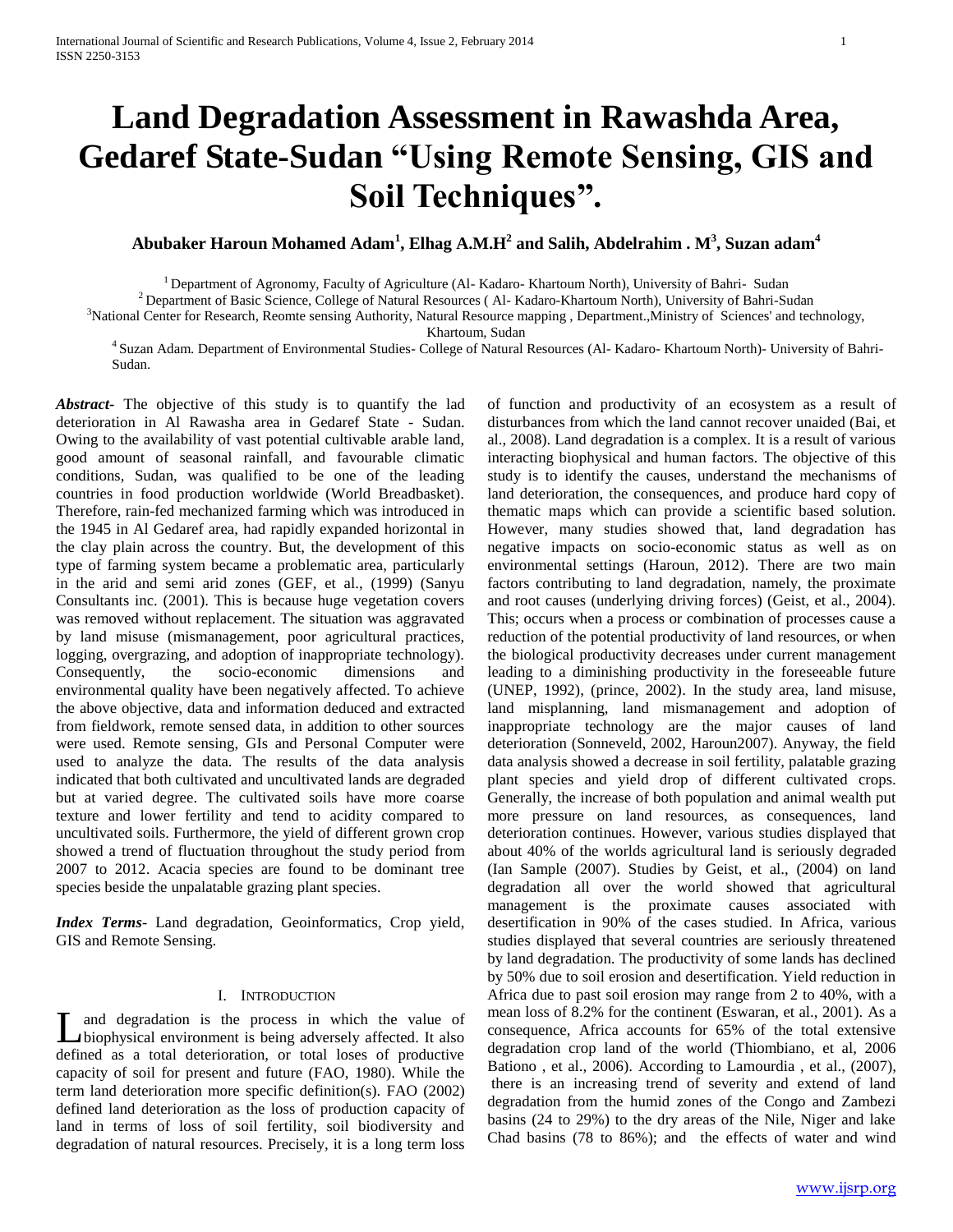# **Land Degradation Assessment in Rawashda Area, Gedaref State-Sudan "Using Remote Sensing, GIS and Soil Techniques".**

# **Abubaker Haroun Mohamed Adam<sup>1</sup> , Elhag A.M.H<sup>2</sup> and Salih, Abdelrahim . M<sup>3</sup> , Suzan adam<sup>4</sup>**

<sup>1</sup> Department of Agronomy, Faculty of Agriculture (Al- Kadaro- Khartoum North), University of Bahri- Sudan

<sup>2</sup> Department of Basic Science, College of Natural Resources (Al- Kadaro-Khartoum North), University of Bahri-Sudan

<sup>3</sup>National Center for Research, Reomte sensing Authority, Natural Resource mapping, Department.,Ministry of Sciences' and technology,

Khartoum, Sudan

<sup>4</sup>Suzan Adam. Department of Environmental Studies- College of Natural Resources (Al- Kadaro- Khartoum North)- University of Bahri-Sudan.

*Abstract***-** The objective of this study is to quantify the lad deterioration in Al Rawasha area in Gedaref State - Sudan. Owing to the availability of vast potential cultivable arable land, good amount of seasonal rainfall, and favourable climatic conditions, Sudan, was qualified to be one of the leading countries in food production worldwide (World Breadbasket). Therefore, rain-fed mechanized farming which was introduced in the 1945 in Al Gedaref area, had rapidly expanded horizontal in the clay plain across the country. But, the development of this type of farming system became a problematic area, particularly in the arid and semi arid zones (GEF, et al., (1999) (Sanyu Consultants inc. (2001). This is because huge vegetation covers was removed without replacement. The situation was aggravated by land misuse (mismanagement, poor agricultural practices, logging, overgrazing, and adoption of inappropriate technology). Consequently, the socio-economic dimensions and environmental quality have been negatively affected. To achieve the above objective, data and information deduced and extracted from fieldwork, remote sensed data, in addition to other sources were used. Remote sensing, GIs and Personal Computer were used to analyze the data. The results of the data analysis indicated that both cultivated and uncultivated lands are degraded but at varied degree. The cultivated soils have more coarse texture and lower fertility and tend to acidity compared to uncultivated soils. Furthermore, the yield of different grown crop showed a trend of fluctuation throughout the study period from 2007 to 2012. Acacia species are found to be dominant tree species beside the unpalatable grazing plant species.

*Index Terms*- Land degradation, Geoinformatics, Crop yield, GIS and Remote Sensing.

## I. INTRODUCTION

and degradation is the process in which the value of **L** and degradation is the process in which the value of biophysical environment is being adversely affected. It also defined as a total deterioration, or total loses of productive capacity of soil for present and future (FAO, 1980). While the term land deterioration more specific definition(s). FAO (2002) defined land deterioration as the loss of production capacity of land in terms of loss of soil fertility, soil biodiversity and degradation of natural resources. Precisely, it is a long term loss

of function and productivity of an ecosystem as a result of disturbances from which the land cannot recover unaided (Bai, et al., 2008). Land degradation is a complex. It is a result of various interacting biophysical and human factors. The objective of this study is to identify the causes, understand the mechanisms of land deterioration, the consequences, and produce hard copy of thematic maps which can provide a scientific based solution. However, many studies showed that, land degradation has negative impacts on socio-economic status as well as on environmental settings (Haroun, 2012). There are two main factors contributing to land degradation, namely, the proximate and root causes (underlying driving forces) (Geist, et al., 2004). This; occurs when a process or combination of processes cause a reduction of the potential productivity of land resources, or when the biological productivity decreases under current management leading to a diminishing productivity in the foreseeable future (UNEP, 1992), (prince, 2002). In the study area, land misuse, land misplanning, land mismanagement and adoption of inappropriate technology are the major causes of land deterioration (Sonneveld, 2002, Haroun2007). Anyway, the field data analysis showed a decrease in soil fertility, palatable grazing plant species and yield drop of different cultivated crops. Generally, the increase of both population and animal wealth put more pressure on land resources, as consequences, land deterioration continues. However, various studies displayed that about 40% of the worlds agricultural land is seriously degraded (Ian Sample (2007). Studies by Geist, et al., (2004) on land degradation all over the world showed that agricultural management is the proximate causes associated with desertification in 90% of the cases studied. In Africa, various studies displayed that several countries are seriously threatened by land degradation. The productivity of some lands has declined by 50% due to soil erosion and desertification. Yield reduction in Africa due to past soil erosion may range from 2 to 40%, with a mean loss of 8.2% for the continent (Eswaran, et al., 2001). As a consequence, Africa accounts for 65% of the total extensive degradation crop land of the world (Thiombiano, et al, 2006 Bationo , et al., 2006). According to Lamourdia , et al., (2007), there is an increasing trend of severity and extend of land degradation from the humid zones of the Congo and Zambezi basins (24 to 29%) to the dry areas of the Nile, Niger and lake Chad basins (78 to 86%); and the effects of water and wind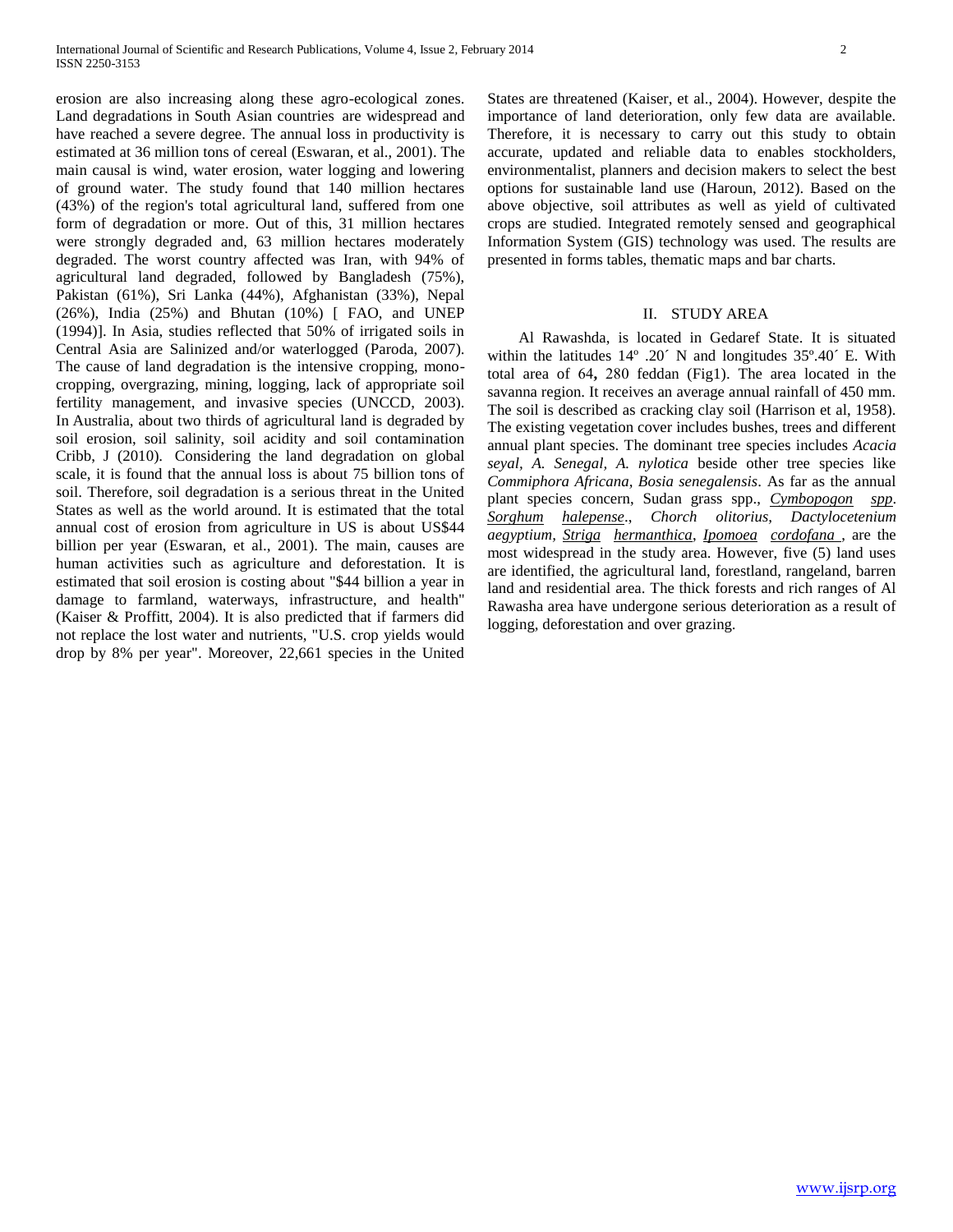erosion are also increasing along these agro-ecological zones. Land degradations in South Asian countries are widespread and have reached a severe degree. The annual loss in productivity is estimated at 36 million tons of cereal (Eswaran, et al., 2001). The main causal is wind, water erosion, water logging and lowering of ground water. The study found that 140 million hectares (43%) of the region's total agricultural land, suffered from one form of degradation or more. Out of this, 31 million hectares were strongly degraded and, 63 million hectares moderately degraded. The worst country affected was Iran, with 94% of agricultural land degraded, followed by Bangladesh (75%), Pakistan (61%), Sri Lanka (44%), Afghanistan (33%), Nepal (26%), India (25%) and Bhutan (10%) [ FAO, and UNEP (1994)]. In Asia, studies reflected that 50% of irrigated soils in Central Asia are Salinized and/or waterlogged (Paroda, 2007). The cause of land degradation is the intensive cropping, monocropping, overgrazing, mining, logging, lack of appropriate soil fertility management, and invasive species (UNCCD, 2003). In Australia, about two thirds of agricultural land is degraded by soil erosion, soil salinity, soil acidity and soil contamination Cribb, J (2010). Considering the land degradation on global scale, it is found that the annual loss is about 75 billion tons of soil. Therefore, soil degradation is a serious threat in the United States as well as the world around. It is estimated that the total annual cost of erosion from agriculture in US is about US\$44 billion per year (Eswaran, et al., 2001). The main, causes are human activities such as agriculture and deforestation. It is estimated that soil erosion is costing about "\$44 billion a year in damage to farmland, waterways, infrastructure, and health" (Kaiser & Proffitt, 2004). It is also predicted that if farmers did not replace the lost water and nutrients, "U.S. crop yields would drop by 8% per year". Moreover, 22,661 species in the United

States are threatened (Kaiser, et al., 2004). However, despite the importance of land deterioration, only few data are available. Therefore, it is necessary to carry out this study to obtain accurate, updated and reliable data to enables stockholders, environmentalist, planners and decision makers to select the best options for sustainable land use (Haroun, 2012). Based on the above objective, soil attributes as well as yield of cultivated crops are studied. Integrated remotely sensed and geographical Information System (GIS) technology was used. The results are presented in forms tables, thematic maps and bar charts.

## II. STUDY AREA

 Al Rawashda, is located in Gedaref State. It is situated within the latitudes 14º .20´ N and longitudes 35º.40´ E. With total area of 64, 280 feddan (Fig1). The area located in the savanna region. It receives an average annual rainfall of 450 mm. The soil is described as cracking clay soil (Harrison et al, 1958). The existing vegetation cover includes bushes, trees and different annual plant species. The dominant tree species includes *Acacia seyal, A. Senegal, A. nylotica* beside other tree species like *Commiphora Africana, Bosia senegalensis*. As far as the annual plant species concern, Sudan grass spp., *Cymbopogon spp*. *Sorghum halepense*., *Chorch olitorius, Dactylocetenium aegyptium, Striga hermanthica*, *Ipomoea cordofana* , are the most widespread in the study area. However, five (5) land uses are identified, the agricultural land, forestland, rangeland, barren land and residential area. The thick forests and rich ranges of Al Rawasha area have undergone serious deterioration as a result of logging, deforestation and over grazing.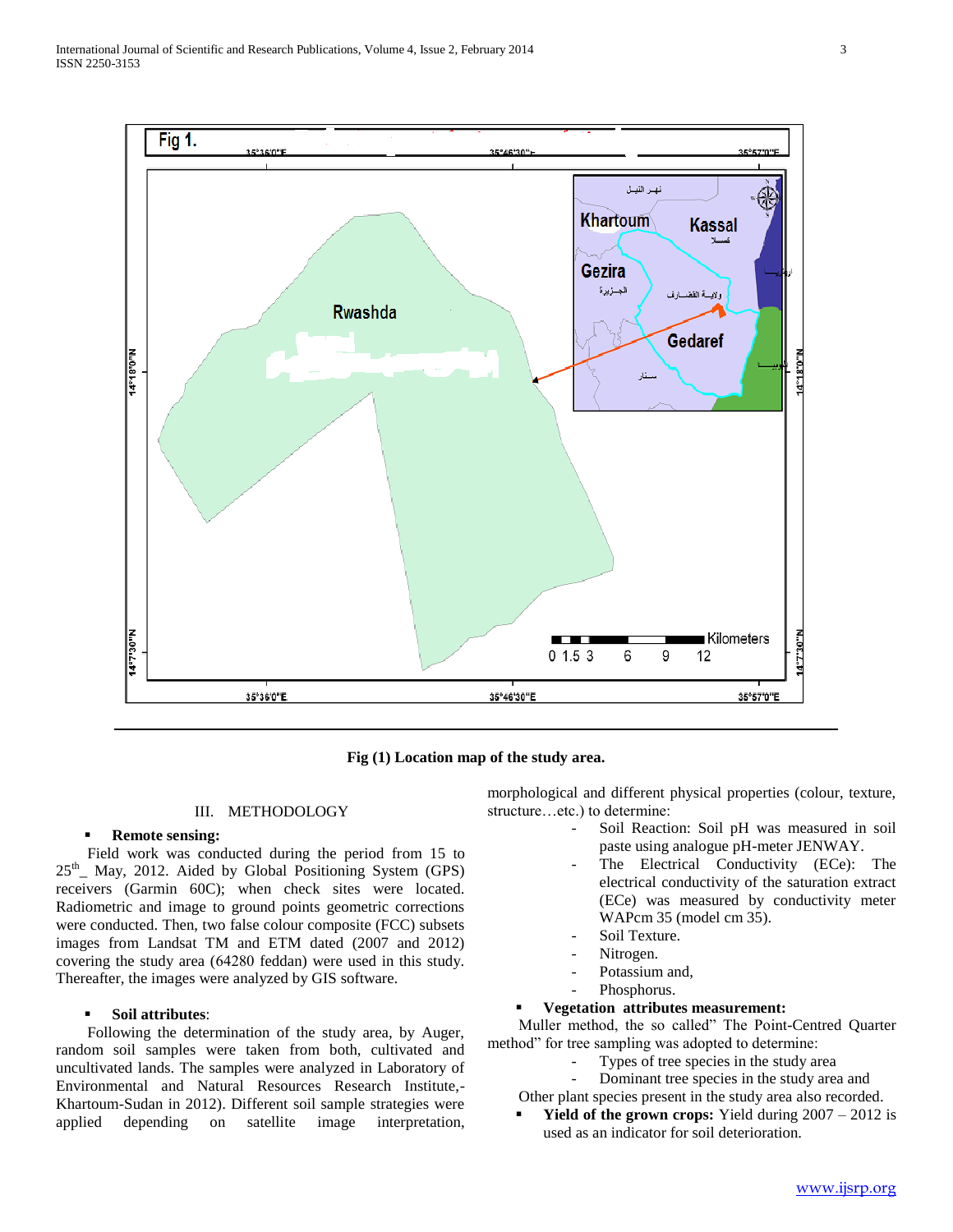

**Fig (1) Location map of the study area.**

#### III. METHODOLOGY

#### **Remote sensing:**

 Field work was conducted during the period from 15 to 25<sup>th</sup>\_ May, 2012. Aided by Global Positioning System (GPS) receivers (Garmin 60C); when check sites were located. Radiometric and image to ground points geometric corrections were conducted. Then, two false colour composite (FCC) subsets images from Landsat TM and ETM dated (2007 and 2012) covering the study area (64280 feddan) were used in this study. Thereafter, the images were analyzed by GIS software.

#### **Soil attributes**:

 Following the determination of the study area, by Auger, random soil samples were taken from both, cultivated and uncultivated lands. The samples were analyzed in Laboratory of Environmental and Natural Resources Research Institute,- Khartoum-Sudan in 2012). Different soil sample strategies were applied depending on satellite image interpretation, morphological and different physical properties (colour, texture, structure…etc.) to determine:

- Soil Reaction: Soil pH was measured in soil paste using analogue pH-meter JENWAY.
- The Electrical Conductivity (ECe): The electrical conductivity of the saturation extract (ECe) was measured by conductivity meter WAPcm 35 (model cm 35).
- Soil Texture.
- Nitrogen.
- Potassium and,
- Phosphorus.

#### **Vegetation attributes measurement:**

 Muller method, the so called" The Point-Centred Quarter method" for tree sampling was adopted to determine:

- Types of tree species in the study area
- Dominant tree species in the study area and
- Other plant species present in the study area also recorded.
- **Yield of the grown crops:** Yield during  $2007 2012$  is used as an indicator for soil deterioration.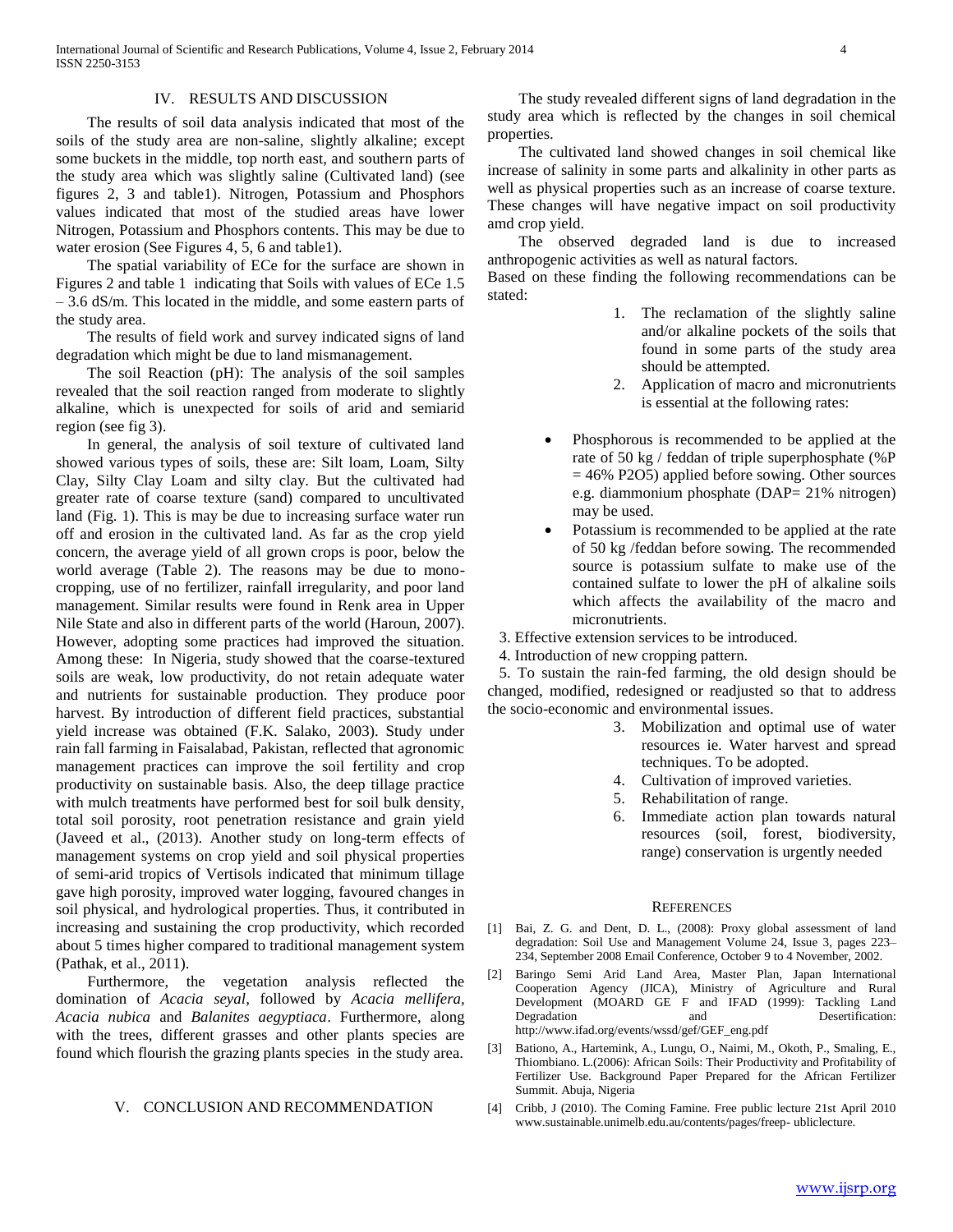#### IV. RESULTS AND DISCUSSION

 The results of soil data analysis indicated that most of the soils of the study area are non-saline, slightly alkaline; except some buckets in the middle, top north east, and southern parts of the study area which was slightly saline (Cultivated land) (see figures 2, 3 and table1). Nitrogen, Potassium and Phosphors values indicated that most of the studied areas have lower Nitrogen, Potassium and Phosphors contents. This may be due to water erosion (See Figures 4, 5, 6 and table1).

 The spatial variability of ECe for the surface are shown in Figures 2 and table 1 indicating that Soils with values of ECe 1.5 – 3.6 dS/m. This located in the middle, and some eastern parts of the study area.

 The results of field work and survey indicated signs of land degradation which might be due to land mismanagement.

 The soil Reaction (pH): The analysis of the soil samples revealed that the soil reaction ranged from moderate to slightly alkaline, which is unexpected for soils of arid and semiarid region (see fig 3).

 In general, the analysis of soil texture of cultivated land showed various types of soils, these are: Silt loam, Loam, Silty Clay, Silty Clay Loam and silty clay. But the cultivated had greater rate of coarse texture (sand) compared to uncultivated land (Fig. 1). This is may be due to increasing surface water run off and erosion in the cultivated land. As far as the crop yield concern, the average yield of all grown crops is poor, below the world average (Table 2). The reasons may be due to monocropping, use of no fertilizer, rainfall irregularity, and poor land management. Similar results were found in Renk area in Upper Nile State and also in different parts of the world (Haroun, 2007). However, adopting some practices had improved the situation. Among these: In Nigeria, study showed that the coarse-textured soils are weak, low productivity, do not retain adequate water and nutrients for sustainable production. They produce poor harvest. By introduction of different field practices, substantial yield increase was obtained (F.K. Salako, 2003). Study under rain fall farming in Faisalabad, Pakistan, reflected that agronomic management practices can improve the soil fertility and crop productivity on sustainable basis. Also, the deep tillage practice with mulch treatments have performed best for soil bulk density, total soil porosity, root penetration resistance and grain yield (Javeed et al., (2013). Another study on long-term effects of management systems on crop yield and soil physical properties of semi-arid tropics of Vertisols indicated that minimum tillage gave high porosity, improved water logging, favoured changes in soil physical, and hydrological properties. Thus, it contributed in increasing and sustaining the crop productivity, which recorded about 5 times higher compared to traditional management system (Pathak, et al., 2011).

 Furthermore, the vegetation analysis reflected the domination of *Acacia seyal,* followed by *Acacia mellifera, Acacia nubica* and *Balanites aegyptiaca*. Furthermore, along with the trees, different grasses and other plants species are found which flourish the grazing plants species in the study area.

#### V. CONCLUSION AND RECOMMENDATION

 The study revealed different signs of land degradation in the study area which is reflected by the changes in soil chemical properties.

 The cultivated land showed changes in soil chemical like increase of salinity in some parts and alkalinity in other parts as well as physical properties such as an increase of coarse texture. These changes will have negative impact on soil productivity amd crop yield.

 The observed degraded land is due to increased anthropogenic activities as well as natural factors.

Based on these finding the following recommendations can be stated:

- 1. The reclamation of the slightly saline and/or alkaline pockets of the soils that found in some parts of the study area should be attempted.
- 2. Application of macro and micronutrients is essential at the following rates:
- Phosphorous is recommended to be applied at the rate of 50 kg / feddan of triple superphosphate (%P  $= 46\%$  P2O5) applied before sowing. Other sources e.g. diammonium phosphate (DAP= 21% nitrogen) may be used.
- Potassium is recommended to be applied at the rate of 50 kg /feddan before sowing. The recommended source is potassium sulfate to make use of the contained sulfate to lower the pH of alkaline soils which affects the availability of the macro and micronutrients.

3. Effective extension services to be introduced.

4. Introduction of new cropping pattern.

 5. To sustain the rain-fed farming, the old design should be changed, modified, redesigned or readjusted so that to address the socio-economic and environmental issues.

- 3. Mobilization and optimal use of water resources ie. Water harvest and spread techniques. To be adopted.
- 4. Cultivation of improved varieties.
- 5. Rehabilitation of range.
- 6. Immediate action plan towards natural resources (soil, forest, biodiversity, range) conservation is urgently needed

#### **REFERENCES**

- [1] Bai, Z. G. and Dent, D. L., (2008): Proxy global assessment of land degradation: Soil Use and Management Volume 24, Issue 3, pages 223– 234, September 2008 Email Conference, October 9 to 4 November, 2002.
- [2] Baringo Semi Arid Land Area, Master Plan, Japan International Cooperation Agency (JICA), Ministry of Agriculture and Rural Development (MOARD GE F and IFAD (1999): Tackling Land Degradation and Desertification: http://www.ifad.org/events/wssd/gef/GEF\_eng.pdf
- [3] Bationo, A., Hartemink, A., Lungu, O., Naimi, M., Okoth, P., Smaling, E., Thiombiano. L.(2006): African Soils: Their Productivity and Profitability of Fertilizer Use. Background Paper Prepared for the African Fertilizer Summit. Abuja, Nigeria
- [4] Cribb, J (2010). The Coming Famine. Free public lecture 21st April 2010 www.sustainable.unimelb.edu.au/contents/pages/freep- ubliclecture.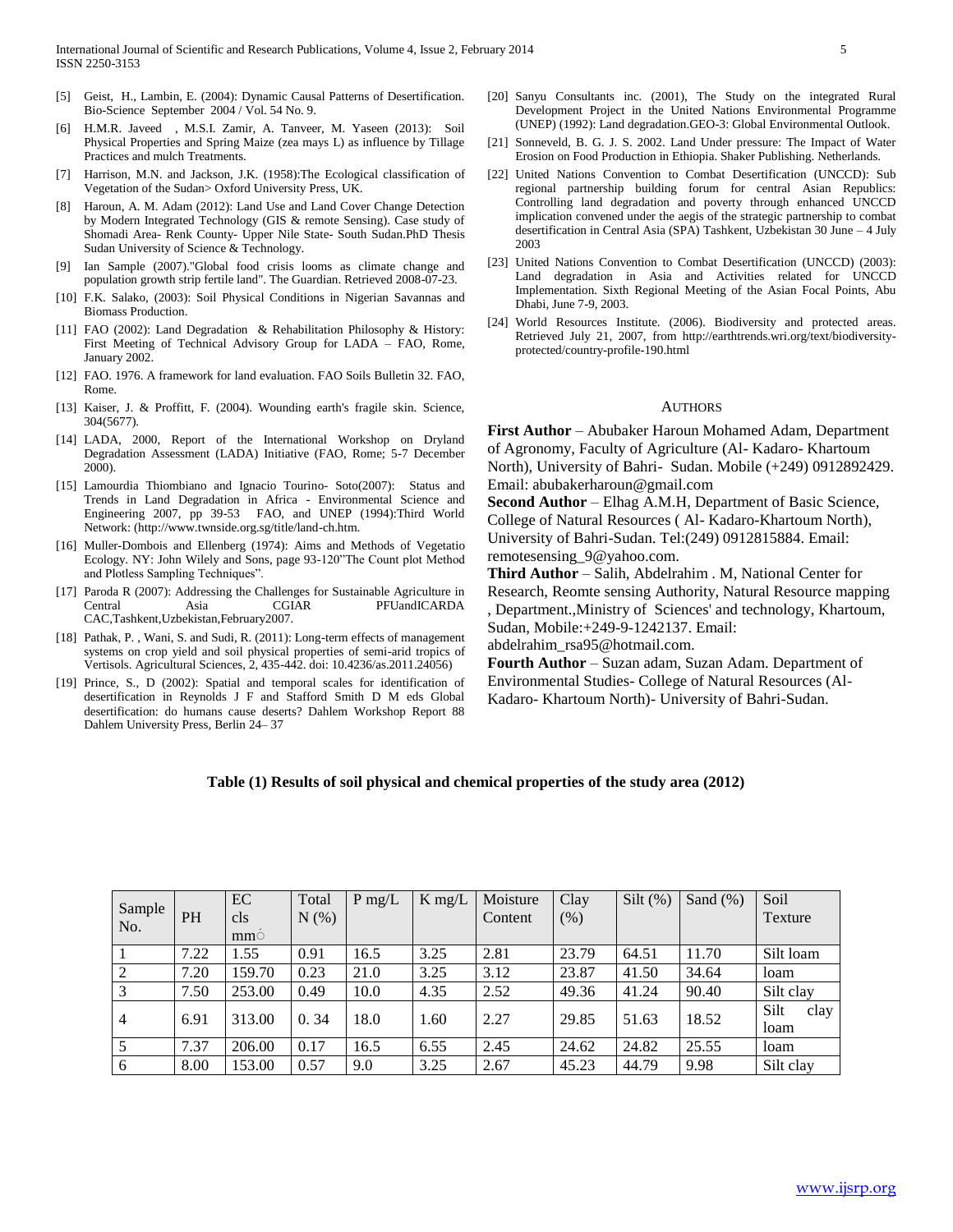- [5] Geist, H., Lambin, E. (2004): Dynamic Causal Patterns of Desertification. Bio-Science September 2004 / Vol. 54 No. 9.
- [6] H.M.R. Javeed , M.S.I. Zamir, A. Tanveer, M. Yaseen (2013): Soil Physical Properties and Spring Maize (zea mays L) as influence by Tillage Practices and mulch Treatments.
- [7] Harrison, M.N. and Jackson, J.K. (1958):The Ecological classification of Vegetation of the Sudan> Oxford University Press, UK.
- [8] Haroun, A. M. Adam (2012): Land Use and Land Cover Change Detection by Modern Integrated Technology (GIS & remote Sensing). Case study of Shomadi Area- Renk County- Upper Nile State- South Sudan.PhD Thesis Sudan University of Science & Technology.
- [9] Ian Sample (2007)."Global food crisis looms as climate change and population growth strip fertile land". The Guardian. Retrieved 2008-07-23.
- [10] F.K. Salako, (2003): Soil Physical Conditions in Nigerian Savannas and Biomass Production.
- [11] FAO (2002): Land Degradation & Rehabilitation Philosophy & History: First Meeting of Technical Advisory Group for LADA – FAO, Rome, January 2002.
- [12] FAO. 1976. A framework for land evaluation. FAO Soils Bulletin 32. FAO, Rome.
- [13] Kaiser, J. & Proffitt, F. (2004). Wounding earth's fragile skin. Science, 304(5677).
- [14] LADA, 2000, Report of the International Workshop on Dryland Degradation Assessment (LADA) Initiative (FAO, Rome; 5-7 December 2000).
- [15] Lamourdia Thiombiano and Ignacio Tourino- Soto(2007): Status and Trends in Land Degradation in Africa - Environmental Science and Engineering 2007, pp 39-53 FAO, and UNEP (1994):Third World Network: (http://www.twnside.org.sg/title/land-ch.htm.
- [16] Muller-Dombois and Ellenberg (1974): Aims and Methods of Vegetatio Ecology. NY: John Wilely and Sons, page 93-120"The Count plot Method and Plotless Sampling Techniques".
- [17] Paroda R (2007): Addressing the Challenges for Sustainable Agriculture in Central Asia CGIAR PFUandICARDA CAC,Tashkent,Uzbekistan,February2007.
- [18] Pathak, P., Wani, S. and Sudi, R. (2011): Long-term effects of management systems on crop yield and soil physical properties of semi-arid tropics of Vertisols. Agricultural Sciences, 2, 435-442. doi: 10.4236/as.2011.24056)
- [19] Prince, S., D (2002): Spatial and temporal scales for identification of desertification in Reynolds J F and Stafford Smith D M eds Global desertification: do humans cause deserts? Dahlem Workshop Report 88 Dahlem University Press, Berlin 24– 37
- [20] Sanyu Consultants inc. (2001), The Study on the integrated Rural Development Project in the United Nations Environmental Programme (UNEP) (1992): Land degradation.GEO-3: Global Environmental Outlook.
- [21] Sonneveld, B. G. J. S. 2002. Land Under pressure: The Impact of Water Erosion on Food Production in Ethiopia. Shaker Publishing. Netherlands.
- [22] United Nations Convention to Combat Desertification (UNCCD): Sub regional partnership building forum for central Asian Republics: Controlling land degradation and poverty through enhanced UNCCD implication convened under the aegis of the strategic partnership to combat desertification in Central Asia (SPA) Tashkent, Uzbekistan 30 June – 4 July 2003
- [23] United Nations Convention to Combat Desertification (UNCCD) (2003): Land degradation in Asia and Activities related for UNCCD Implementation. Sixth Regional Meeting of the Asian Focal Points, Abu Dhabi, June 7-9, 2003.
- [24] World Resources Institute. (2006). Biodiversity and protected areas. Retrieved July 21, 2007, from http://earthtrends.wri.org/text/biodiversityprotected/country-profile-190.html

#### AUTHORS

**First Author** – Abubaker Haroun Mohamed Adam, Department of Agronomy, Faculty of Agriculture (Al- Kadaro- Khartoum North), University of Bahri- Sudan. Mobile (+249) 0912892429. Email: abubakerharoun@gmail.com

**Second Author** – Elhag A.M.H, Department of Basic Science, College of Natural Resources ( Al- Kadaro-Khartoum North), University of Bahri-Sudan. Tel:(249) 0912815884. Email: remotesensing\_9@yahoo.com.

**Third Author** – Salih, Abdelrahim . M, National Center for Research, Reomte sensing Authority, Natural Resource mapping , Department.,Ministry of Sciences' and technology, Khartoum, Sudan, Mobile:+249-9-1242137. Email:

abdelrahim\_rsa95@hotmail.com.

**Fourth Author** – Suzan adam, Suzan Adam. Department of Environmental Studies- College of Natural Resources (Al-Kadaro- Khartoum North)- University of Bahri-Sudan.

### **Table (1) Results of soil physical and chemical properties of the study area (2012)**

| Sample<br>No.  | <b>PH</b> | EC<br>cls<br>mm <sup>°</sup> | Total<br>N(%) | $P$ mg/L | $K$ mg/ $L$ | Moisture<br>Content | Clay<br>(% ) | Silt $(\%)$ | Sand $(\%)$ | Soil<br>Texture      |
|----------------|-----------|------------------------------|---------------|----------|-------------|---------------------|--------------|-------------|-------------|----------------------|
|                | 7.22      | .55                          | 0.91          | 16.5     | 3.25        | 2.81                | 23.79        | 64.51       | 11.70       | Silt loam            |
| 2              | 7.20      | 159.70                       | 0.23          | 21.0     | 3.25        | 3.12                | 23.87        | 41.50       | 34.64       | loam                 |
| $\overline{3}$ | 7.50      | 253.00                       | 0.49          | 10.0     | 4.35        | 2.52                | 49.36        | 41.24       | 90.40       | Silt clay            |
| $\overline{4}$ | 6.91      | 313.00                       | 0.34          | 18.0     | 1.60        | 2.27                | 29.85        | 51.63       | 18.52       | Silt<br>clay<br>loam |
| 5              | 7.37      | 206.00                       | 0.17          | 16.5     | 6.55        | 2.45                | 24.62        | 24.82       | 25.55       | loam                 |
| 6              | 8.00      | 153.00                       | 0.57          | 9.0      | 3.25        | 2.67                | 45.23        | 44.79       | 9.98        | Silt clay            |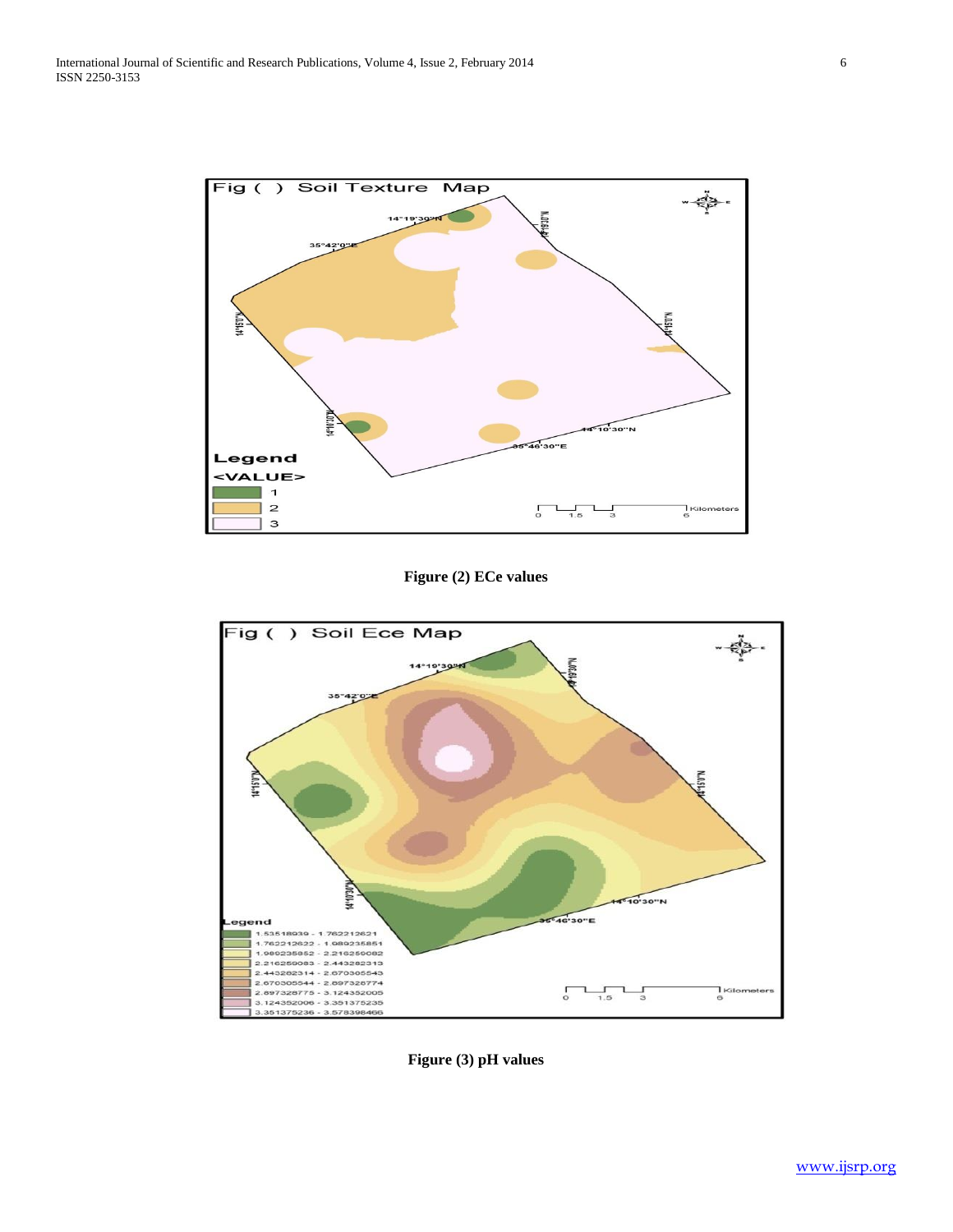

# **Figure (2) ECe values**



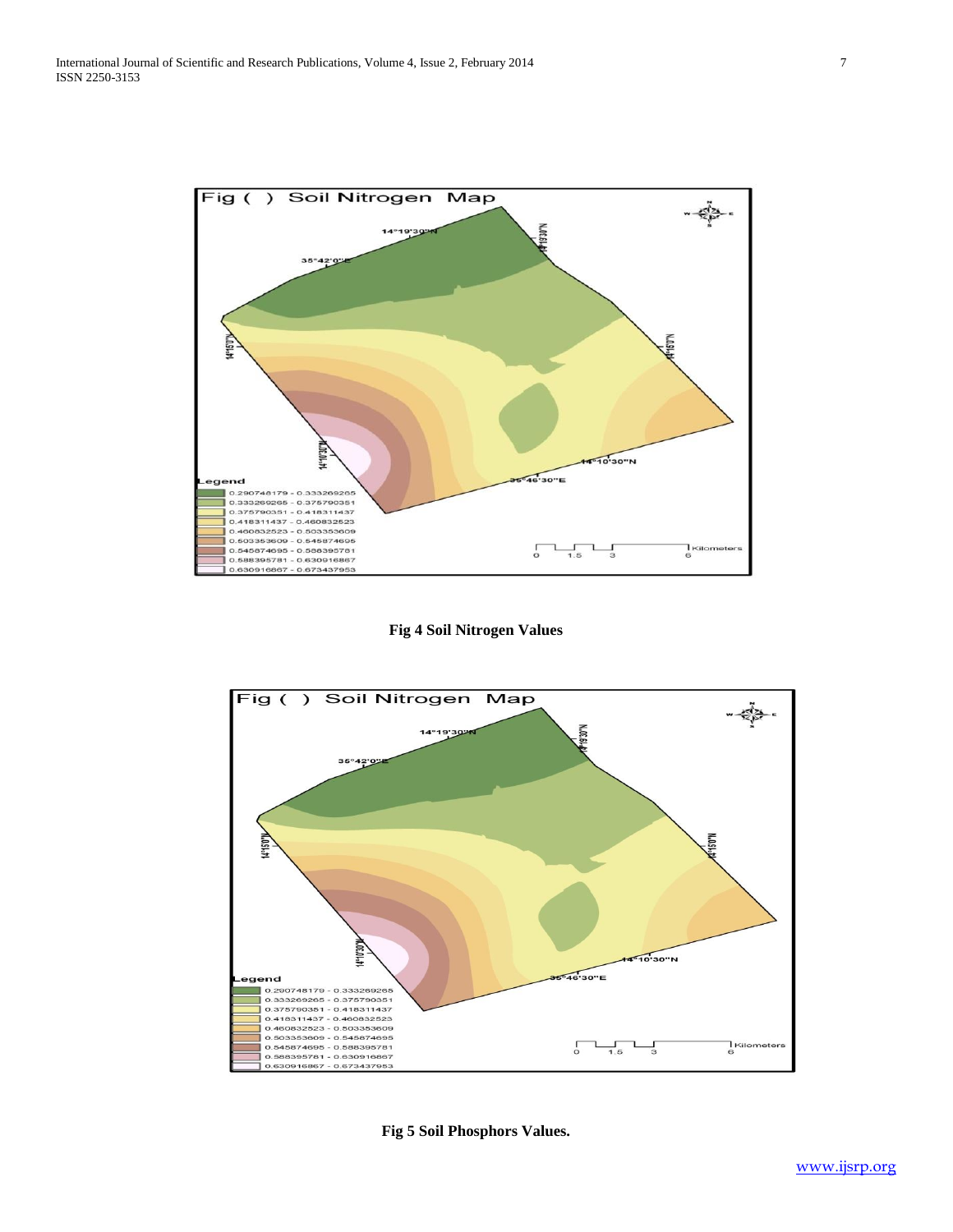

# **Fig 4 Soil Nitrogen Values**



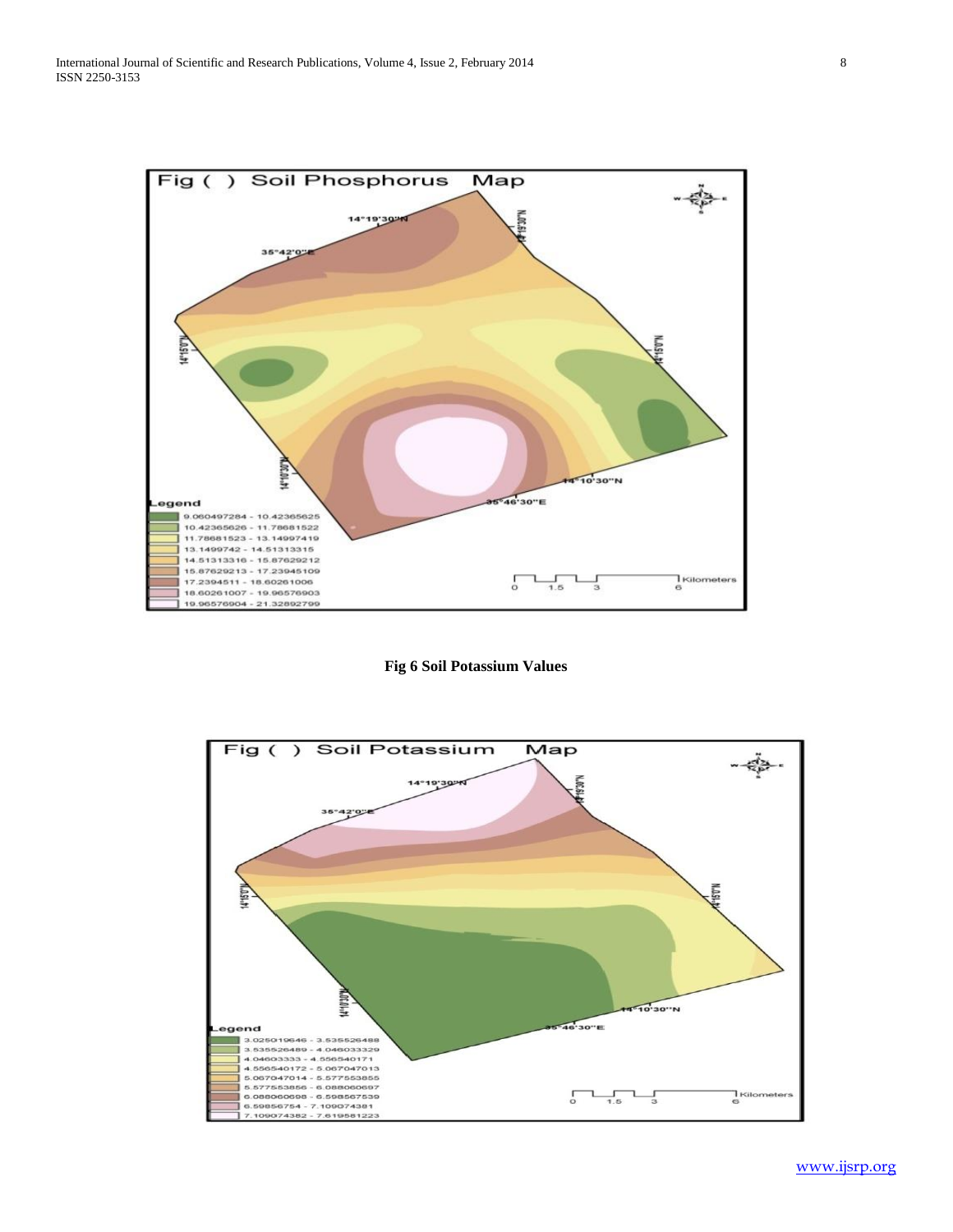

**Fig 6 Soil Potassium Values**